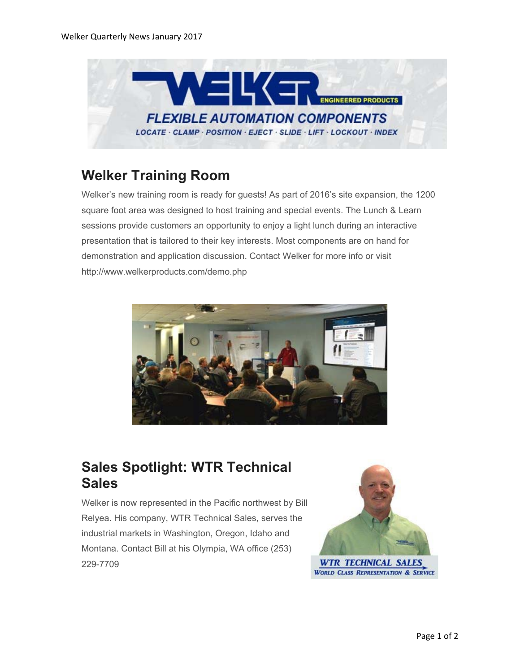

# **Welker Training Room**

Welker's new training room is ready for guests! As part of 2016's site expansion, the 1200 square foot area was designed to host training and special events. The Lunch & Learn sessions provide customers an opportunity to enjoy a light lunch during an interactive presentation that is tailored to their key interests. Most components are on hand for demonstration and application discussion. Contact Welker for more info or visit http://www.welkerproducts.com/demo.php



### **Sales Spotlight: WTR Technical Sales**

Welker is now represented in the Pacific northwest by Bill Relyea. His company, WTR Technical Sales, serves the industrial markets in Washington, Oregon, Idaho and Montana. Contact Bill at his Olympia, WA office (253) 229-7709

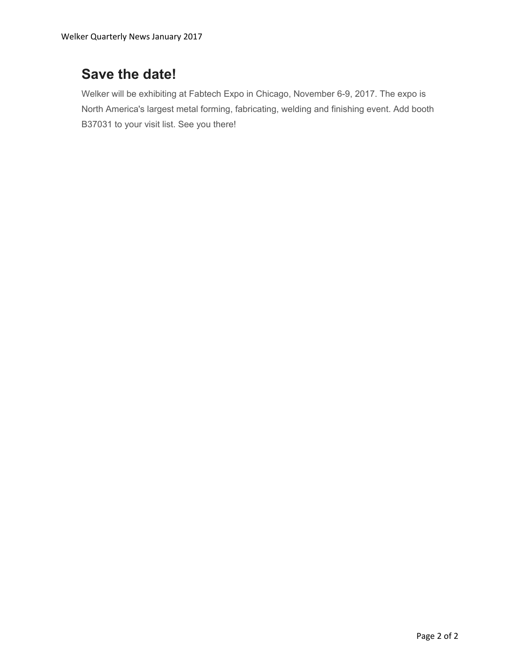### **Save the date!**

Welker will be exhibiting at Fabtech Expo in Chicago, November 6-9, 2017. The expo is North America's largest metal forming, fabricating, welding and finishing event. Add booth B37031 to your visit list. See you there!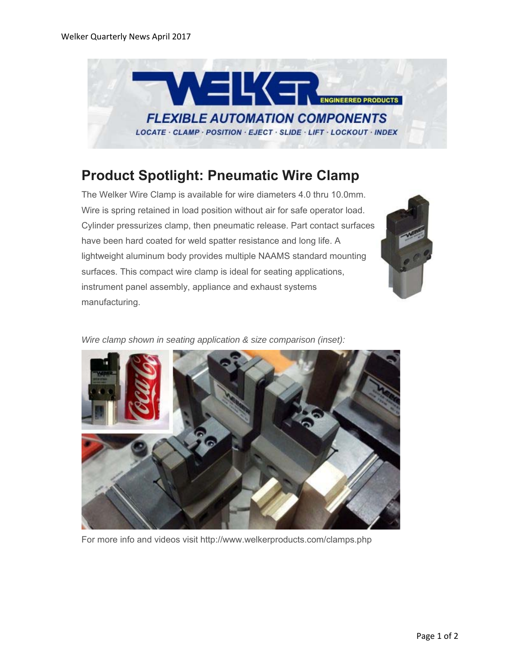

### **Product Spotlight: Pneumatic Wire Clamp**

The Welker Wire Clamp is available for wire diameters 4.0 thru 10.0mm. Wire is spring retained in load position without air for safe operator load. Cylinder pressurizes clamp, then pneumatic release. Part contact surfaces have been hard coated for weld spatter resistance and long life. A lightweight aluminum body provides multiple NAAMS standard mounting surfaces. This compact wire clamp is ideal for seating applications, instrument panel assembly, appliance and exhaust systems manufacturing.



*Wire clamp shown in seating application & size comparison (inset):*



For more info and videos visit http://www.welkerproducts.com/clamps.php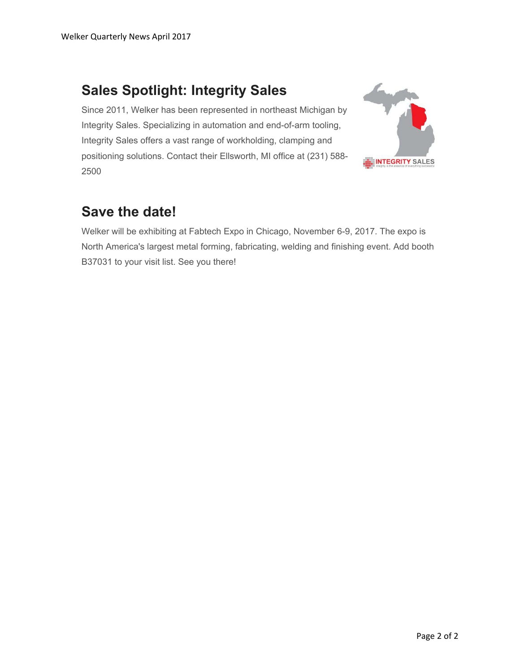## **Sales Spotlight: Integrity Sales**

Since 2011, Welker has been represented in northeast Michigan by Integrity Sales. Specializing in automation and end-of-arm tooling, Integrity Sales offers a vast range of workholding, clamping and positioning solutions. Contact their Ellsworth, MI office at (231) 588- 2500



#### **Save the date!**

Welker will be exhibiting at Fabtech Expo in Chicago, November 6-9, 2017. The expo is North America's largest metal forming, fabricating, welding and finishing event. Add booth B37031 to your visit list. See you there!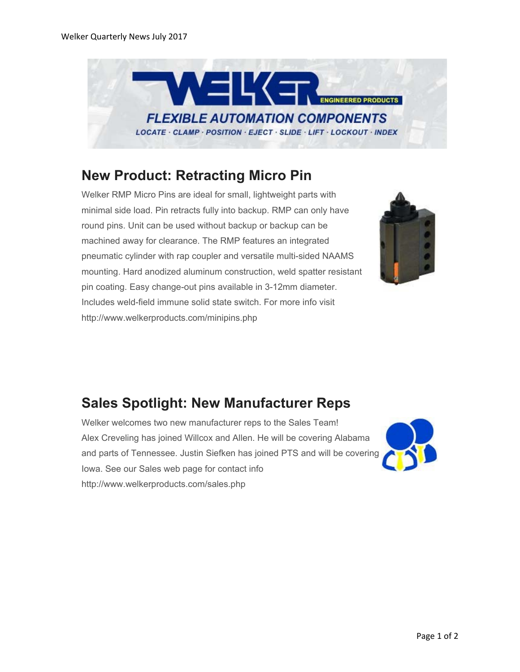

### **New Product: Retracting Micro Pin**

Welker RMP Micro Pins are ideal for small, lightweight parts with minimal side load. Pin retracts fully into backup. RMP can only have round pins. Unit can be used without backup or backup can be machined away for clearance. The RMP features an integrated pneumatic cylinder with rap coupler and versatile multi-sided NAAMS mounting. Hard anodized aluminum construction, weld spatter resistant pin coating. Easy change-out pins available in 3-12mm diameter. Includes weld-field immune solid state switch. For more info visit http://www.welkerproducts.com/minipins.php



# **Sales Spotlight: New Manufacturer Reps**

Welker welcomes two new manufacturer reps to the Sales Team! Alex Creveling has joined Willcox and Allen. He will be covering Alabama and parts of Tennessee. Justin Siefken has joined PTS and will be covering Iowa. See our Sales web page for contact info http://www.welkerproducts.com/sales.php

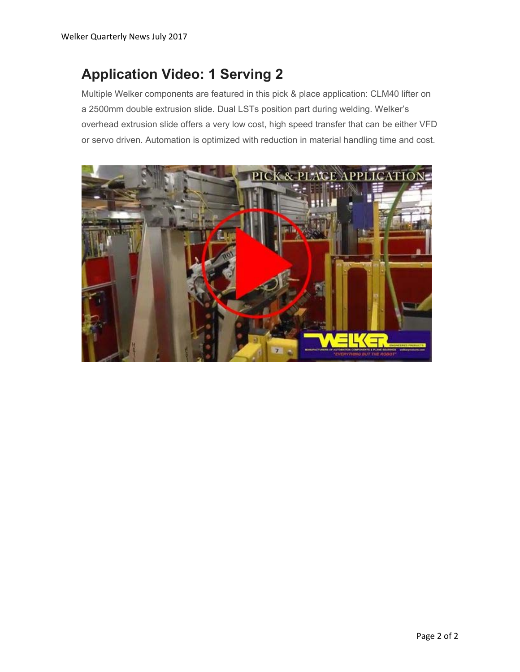#### **Application Video: 1 Serving 2**

Multiple Welker components are featured in this pick & place application: CLM40 lifter on a 2500mm double extrusion slide. Dual LSTs position part during welding. Welker's overhead extrusion slide offers a very low cost, high speed transfer that can be either VFD or servo driven. Automation is optimized with reduction in material handling time and cost.

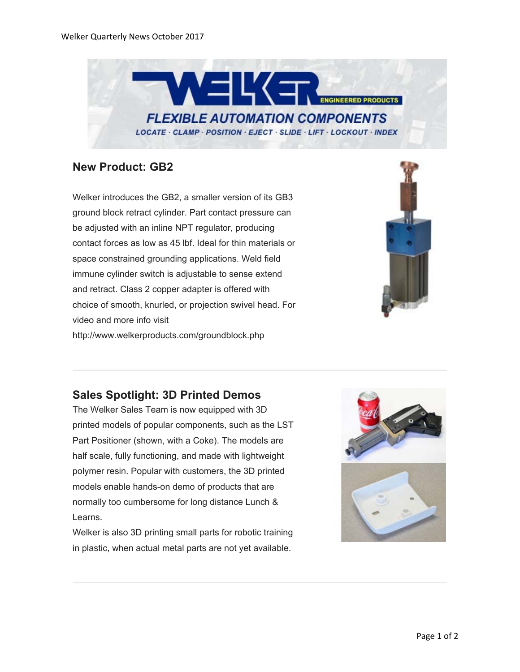

#### **New Product: GB2**

Welker introduces the GB2, a smaller version of its GB3 ground block retract cylinder. Part contact pressure can be adjusted with an inline NPT regulator, producing contact forces as low as 45 lbf. Ideal for thin materials or space constrained grounding applications. Weld field immune cylinder switch is adjustable to sense extend and retract. Class 2 copper adapter is offered with choice of smooth, knurled, or projection swivel head. For video and more info visit http://www.welkerproducts.com/groundblock.php



#### **Sales Spotlight: 3D Printed Demos**

The Welker Sales Team is now equipped with 3D printed models of popular components, such as the LST Part Positioner (shown, with a Coke). The models are half scale, fully functioning, and made with lightweight polymer resin. Popular with customers, the 3D printed models enable hands-on demo of products that are normally too cumbersome for long distance Lunch & Learns.

Welker is also 3D printing small parts for robotic training in plastic, when actual metal parts are not yet available.